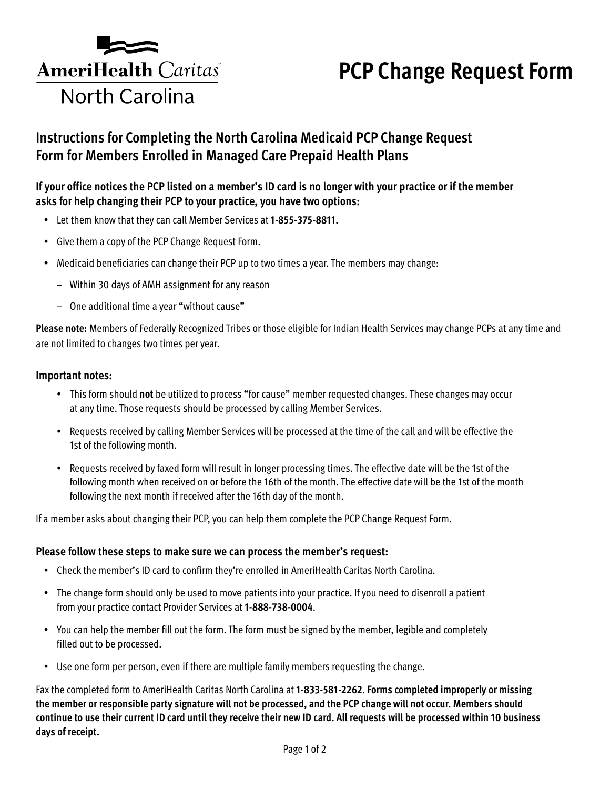

# **PCP Change Request Form**

# **Instructions for Completing the North Carolina Medicaid PCP Change Request Form for Members Enrolled in Managed Care Prepaid Health Plans**

## **If your office notices the PCP listed on a member's ID card is no longer with your practice or if the member asks for help changing their PCP to your practice, you have two options:**

- Let them know that they can call Member Services at **1-855-375-8811.**
- Give them a copy of the PCP Change Request Form.
- Medicaid beneficiaries can change their PCP up to two times a year. The members may change:
	- Within 30 days of AMH assignment for any reason
	- One additional time a year "without cause"

**Please note:** Members of Federally Recognized Tribes or those eligible for Indian Health Services may change PCPs at any time and are not limited to changes two times per year.

### **Important notes:**

- This form should **not** be utilized to process "for cause" member requested changes. These changes may occur at any time. Those requests should be processed by calling Member Services.
- Requests received by calling Member Services will be processed at the time of the call and will be effective the 1st of the following month.
- Requests received by faxed form will result in longer processing times. The effective date will be the 1st of the following month when received on or before the 16th of the month. The effective date will be the 1st of the month following the next month if received after the 16th day of the month.

If a member asks about changing their PCP, you can help them complete the PCP Change Request Form.

### **Please follow these steps to make sure we can process the member's request:**

- Check the member's ID card to confirm they're enrolled in AmeriHealth Caritas North Carolina.
- The change form should only be used to move patients into your practice. If you need to disenroll a patient from your practice contact Provider Services at **1-888-738-0004**.
- You can help the member fill out the form. The form must be signed by the member, legible and completely filled out to be processed.
- Use one form per person, even if there are multiple family members requesting the change.

Fax the completed form to AmeriHealth Caritas North Carolina at **1-833-581-2262**. **Forms completed improperly or missing the member or responsible party signature will not be processed, and the PCP change will not occur. Members should continue to use their current ID card until they receive their new ID card. All requests will be processed within 10 business days of receipt.**